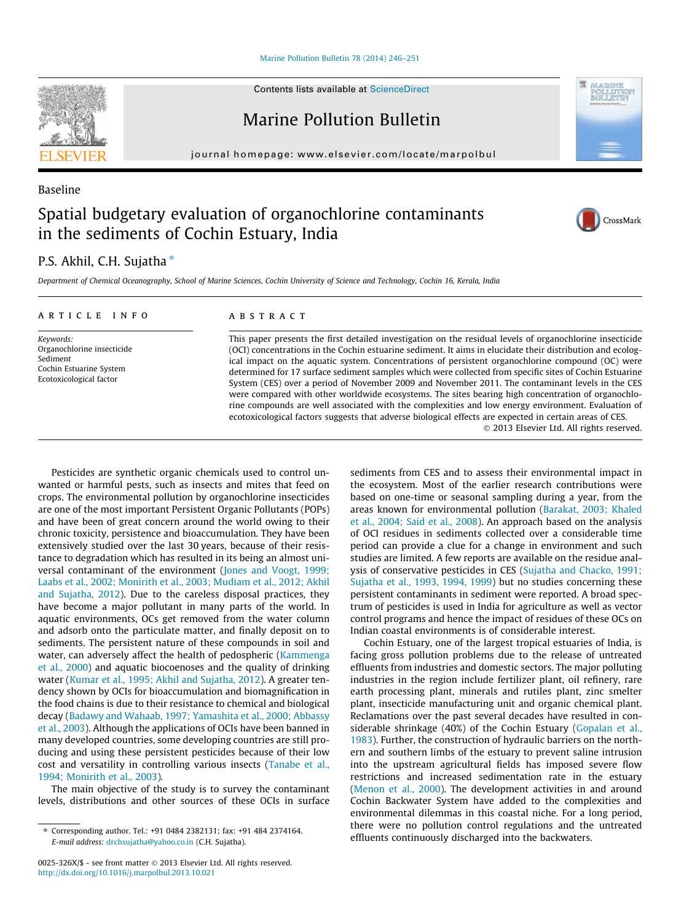# [Marine Pollution Bulletin 78 \(2014\) 246–251](http://dx.doi.org/10.1016/j.marpolbul.2013.10.021)

Contents lists available at [ScienceDirect](http://www.sciencedirect.com/science/journal/0025326X)

Marine Pollution Bulletin

journal homepage: [www.elsevier.com/locate/marpolbul](http://www.elsevier.com/locate/marpolbul)

# Spatial budgetary evaluation of organochlorine contaminants in the sediments of Cochin Estuary, India

# P.S. Akhil, C.H. Sujatha<sup>\*</sup>

Department of Chemical Oceanography, School of Marine Sciences, Cochin University of Science and Technology, Cochin 16, Kerala, India

### article info

Keywords: Organochlorine insecticide Sediment Cochin Estuarine System Ecotoxicological factor

#### **ABSTRACT**

This paper presents the first detailed investigation on the residual levels of organochlorine insecticide (OCI) concentrations in the Cochin estuarine sediment. It aims in elucidate their distribution and ecological impact on the aquatic system. Concentrations of persistent organochlorine compound (OC) were determined for 17 surface sediment samples which were collected from specific sites of Cochin Estuarine System (CES) over a period of November 2009 and November 2011. The contaminant levels in the CES were compared with other worldwide ecosystems. The sites bearing high concentration of organochlorine compounds are well associated with the complexities and low energy environment. Evaluation of ecotoxicological factors suggests that adverse biological effects are expected in certain areas of CES.

- 2013 Elsevier Ltd. All rights reserved.

Pesticides are synthetic organic chemicals used to control unwanted or harmful pests, such as insects and mites that feed on crops. The environmental pollution by organochlorine insecticides are one of the most important Persistent Organic Pollutants (POPs) and have been of great concern around the world owing to their chronic toxicity, persistence and bioaccumulation. They have been extensively studied over the last 30 years, because of their resistance to degradation which has resulted in its being an almost universal contaminant of the environment ([Jones and Voogt, 1999;](#page-5-0) [Laabs et al., 2002; Monirith et al., 2003; Mudiam et al., 2012; Akhil](#page-5-0) [and Sujatha, 2012\)](#page-5-0). Due to the careless disposal practices, they have become a major pollutant in many parts of the world. In aquatic environments, OCs get removed from the water column and adsorb onto the particulate matter, and finally deposit on to sediments. The persistent nature of these compounds in soil and water, can adversely affect the health of pedospheric [\(Kammenga](#page-5-0) [et al., 2000\)](#page-5-0) and aquatic biocoenoses and the quality of drinking water ([Kumar et al., 1995; Akhil and Sujatha, 2012](#page-5-0)). A greater tendency shown by OCIs for bioaccumulation and biomagnification in the food chains is due to their resistance to chemical and biological decay ([Badawy and Wahaab, 1997; Yamashita et al., 2000; Abbassy](#page-5-0) [et al., 2003](#page-5-0)). Although the applications of OCIs have been banned in many developed countries, some developing countries are still producing and using these persistent pesticides because of their low cost and versatility in controlling various insects [\(Tanabe et al.,](#page-5-0) [1994; Monirith et al., 2003](#page-5-0)).

The main objective of the study is to survey the contaminant levels, distributions and other sources of these OCIs in surface sediments from CES and to assess their environmental impact in the ecosystem. Most of the earlier research contributions were based on one-time or seasonal sampling during a year, from the areas known for environmental pollution ([Barakat, 2003; Khaled](#page-5-0) [et al., 2004; Said et al., 2008](#page-5-0)). An approach based on the analysis of OCI residues in sediments collected over a considerable time period can provide a clue for a change in environment and such studies are limited. A few reports are available on the residue analysis of conservative pesticides in CES ([Sujatha and Chacko, 1991;](#page-5-0) [Sujatha et al., 1993, 1994, 1999\)](#page-5-0) but no studies concerning these persistent contaminants in sediment were reported. A broad spectrum of pesticides is used in India for agriculture as well as vector control programs and hence the impact of residues of these OCs on Indian coastal environments is of considerable interest.

Cochin Estuary, one of the largest tropical estuaries of India, is facing gross pollution problems due to the release of untreated effluents from industries and domestic sectors. The major polluting industries in the region include fertilizer plant, oil refinery, rare earth processing plant, minerals and rutiles plant, zinc smelter plant, insecticide manufacturing unit and organic chemical plant. Reclamations over the past several decades have resulted in considerable shrinkage (40%) of the Cochin Estuary [\(Gopalan et al.,](#page-5-0) [1983\)](#page-5-0). Further, the construction of hydraulic barriers on the northern and southern limbs of the estuary to prevent saline intrusion into the upstream agricultural fields has imposed severe flow restrictions and increased sedimentation rate in the estuary ([Menon et al., 2000](#page-5-0)). The development activities in and around Cochin Backwater System have added to the complexities and environmental dilemmas in this coastal niche. For a long period, there were no pollution control regulations and the untreated effluents continuously discharged into the backwaters.



Baseline





MARINE POLLUTIC<br>BULLETIR

<sup>⇑</sup> Corresponding author. Tel.: +91 0484 2382131; fax: +91 484 2374164. E-mail address: [drchsujatha@yahoo.co.in](mailto:drchsujatha@yahoo.co.in) (C.H. Sujatha).

<sup>0025-326</sup>X/\$ - see front matter © 2013 Elsevier Ltd. All rights reserved. <http://dx.doi.org/10.1016/j.marpolbul.2013.10.021>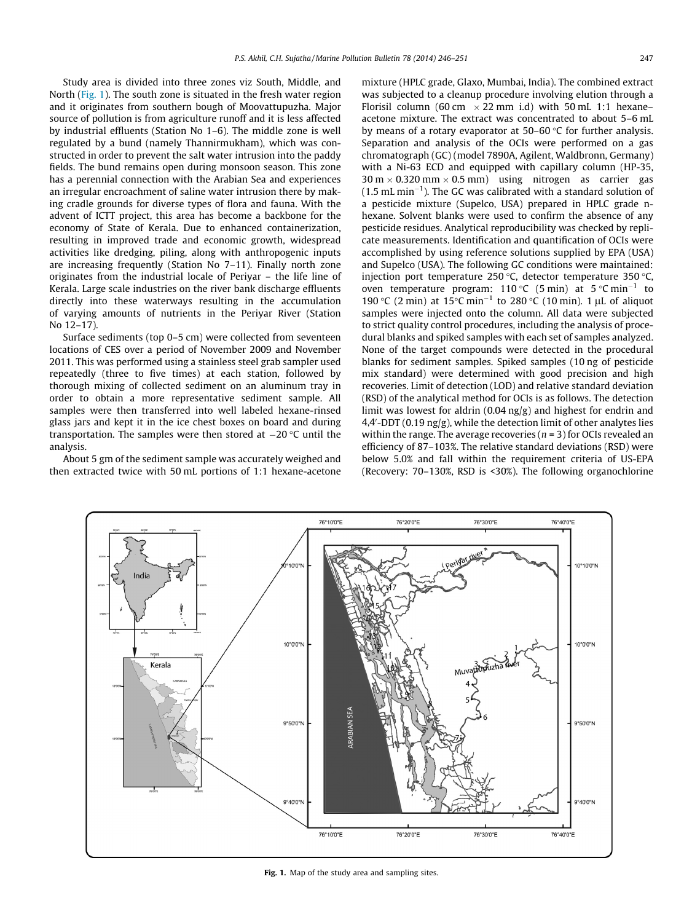Study area is divided into three zones viz South, Middle, and North (Fig. 1). The south zone is situated in the fresh water region and it originates from southern bough of Moovattupuzha. Major source of pollution is from agriculture runoff and it is less affected by industrial effluents (Station No 1–6). The middle zone is well regulated by a bund (namely Thannirmukham), which was constructed in order to prevent the salt water intrusion into the paddy fields. The bund remains open during monsoon season. This zone has a perennial connection with the Arabian Sea and experiences an irregular encroachment of saline water intrusion there by making cradle grounds for diverse types of flora and fauna. With the advent of ICTT project, this area has become a backbone for the economy of State of Kerala. Due to enhanced containerization, resulting in improved trade and economic growth, widespread activities like dredging, piling, along with anthropogenic inputs are increasing frequently (Station No 7–11). Finally north zone originates from the industrial locale of Periyar – the life line of Kerala. Large scale industries on the river bank discharge effluents directly into these waterways resulting in the accumulation of varying amounts of nutrients in the Periyar River (Station No 12–17).

Surface sediments (top 0–5 cm) were collected from seventeen locations of CES over a period of November 2009 and November 2011. This was performed using a stainless steel grab sampler used repeatedly (three to five times) at each station, followed by thorough mixing of collected sediment on an aluminum tray in order to obtain a more representative sediment sample. All samples were then transferred into well labeled hexane-rinsed glass jars and kept it in the ice chest boxes on board and during transportation. The samples were then stored at  $-20\,^{\circ}\textrm{C}$  until the analysis.

About 5 gm of the sediment sample was accurately weighed and then extracted twice with 50 mL portions of 1:1 hexane-acetone mixture (HPLC grade, Glaxo, Mumbai, India). The combined extract was subjected to a cleanup procedure involving elution through a Florisil column (60 cm  $\times$  22 mm i.d) with 50 mL 1:1 hexane– acetone mixture. The extract was concentrated to about 5–6 mL by means of a rotary evaporator at  $50-60$  °C for further analysis. Separation and analysis of the OCIs were performed on a gas chromatograph (GC) (model 7890A, Agilent, Waldbronn, Germany) with a Ni-63 ECD and equipped with capillary column (HP-35,  $30 \text{ m} \times 0.320 \text{ mm} \times 0.5 \text{ mm}$  using nitrogen as carrier gas  $(1.5 \text{ mL min}^{-1})$ . The GC was calibrated with a standard solution of a pesticide mixture (Supelco, USA) prepared in HPLC grade nhexane. Solvent blanks were used to confirm the absence of any pesticide residues. Analytical reproducibility was checked by replicate measurements. Identification and quantification of OCIs were accomplished by using reference solutions supplied by EPA (USA) and Supelco (USA). The following GC conditions were maintained: injection port temperature 250 °C, detector temperature 350 °C, oven temperature program: 110 °C (5 min) at 5 °C min<sup>-1</sup> to 190 °C (2 min) at 15 °C min<sup>-1</sup> to 280 °C (10 min). 1 µL of aliquot samples were injected onto the column. All data were subjected to strict quality control procedures, including the analysis of procedural blanks and spiked samples with each set of samples analyzed. None of the target compounds were detected in the procedural blanks for sediment samples. Spiked samples (10 ng of pesticide mix standard) were determined with good precision and high recoveries. Limit of detection (LOD) and relative standard deviation (RSD) of the analytical method for OCIs is as follows. The detection limit was lowest for aldrin (0.04 ng/g) and highest for endrin and 4,4'-DDT (0.19  $\operatorname{ng/g}$ ), while the detection limit of other analytes lies within the range. The average recoveries ( $n = 3$ ) for OCIs revealed an efficiency of 87–103%. The relative standard deviations (RSD) were below 5.0% and fall within the requirement criteria of US-EPA (Recovery: 70–130%, RSD is <30%). The following organochlorine



Fig. 1. Map of the study area and sampling sites.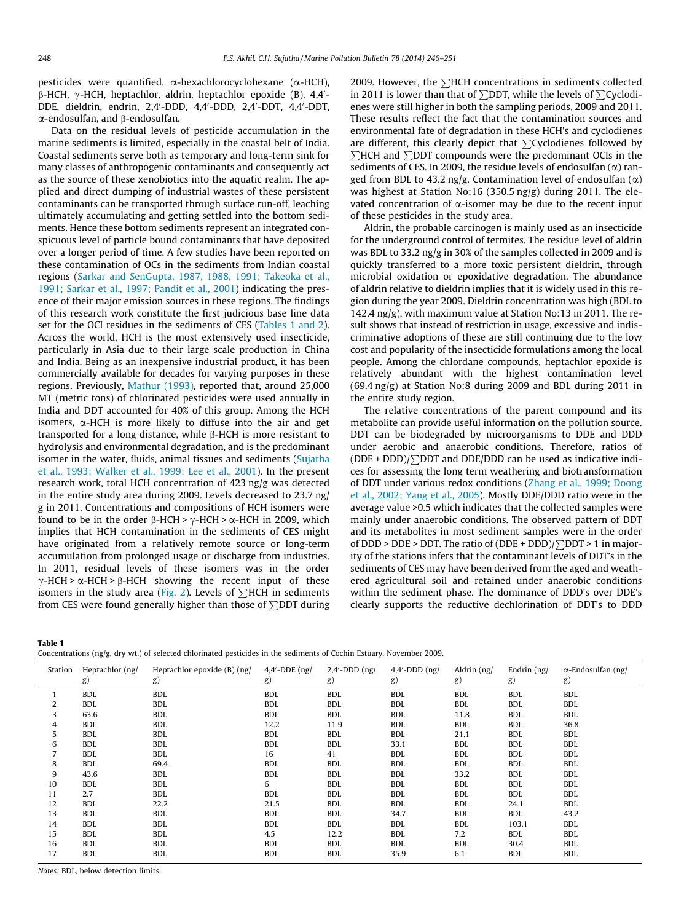pesticides were quantified.  $\alpha$ -hexachlorocyclohexane ( $\alpha$ -HCH),  $\beta$ -HCH,  $\gamma$ -HCH, heptachlor, aldrin, heptachlor epoxide (B), 4,4'-DDE, dieldrin, endrin, 2,4′-DDD, 4,4′-DDD, 2,4′-DDT, 4,4′-DDT, a-endosulfan, and b-endosulfan.

Data on the residual levels of pesticide accumulation in the marine sediments is limited, especially in the coastal belt of India. Coastal sediments serve both as temporary and long-term sink for many classes of anthropogenic contaminants and consequently act as the source of these xenobiotics into the aquatic realm. The applied and direct dumping of industrial wastes of these persistent contaminants can be transported through surface run-off, leaching ultimately accumulating and getting settled into the bottom sediments. Hence these bottom sediments represent an integrated conspicuous level of particle bound contaminants that have deposited over a longer period of time. A few studies have been reported on these contamination of OCs in the sediments from Indian coastal regions ([Sarkar and SenGupta, 1987, 1988, 1991; Takeoka et al.,](#page-5-0) [1991; Sarkar et al., 1997; Pandit et al., 2001\)](#page-5-0) indicating the presence of their major emission sources in these regions. The findings of this research work constitute the first judicious base line data set for the OCI residues in the sediments of CES (Tables 1 and 2). Across the world, HCH is the most extensively used insecticide, particularly in Asia due to their large scale production in China and India. Being as an inexpensive industrial product, it has been commercially available for decades for varying purposes in these regions. Previously, [Mathur \(1993\),](#page-5-0) reported that, around 25,000 MT (metric tons) of chlorinated pesticides were used annually in India and DDT accounted for 40% of this group. Among the HCH isomers,  $\alpha$ -HCH is more likely to diffuse into the air and get transported for a long distance, while  $\beta$ -HCH is more resistant to hydrolysis and environmental degradation, and is the predominant isomer in the water, fluids, animal tissues and sediments ([Sujatha](#page-5-0) [et al., 1993; Walker et al., 1999; Lee et al., 2001](#page-5-0)). In the present research work, total HCH concentration of 423 ng/g was detected in the entire study area during 2009. Levels decreased to 23.7 ng/ g in 2011. Concentrations and compositions of HCH isomers were found to be in the order  $\beta$ -HCH >  $\gamma$ -HCH >  $\alpha$ -HCH in 2009, which implies that HCH contamination in the sediments of CES might have originated from a relatively remote source or long-term accumulation from prolonged usage or discharge from industries. In 2011, residual levels of these isomers was in the order  $\gamma$ -HCH >  $\alpha$ -HCH >  $\beta$ -HCH showing the recent input of these isomers in the study area ([Fig. 2\)](#page-3-0). Levels of  $\sum HCH$  in sediments from CES were found generally higher than those of  $\Sigma$ DDT during 2009. However, the  $\sum$ HCH concentrations in sediments collected in 2011 is lower than that of  $\Sigma$ DDT, while the levels of  $\Sigma$ Cyclodienes were still higher in both the sampling periods, 2009 and 2011. These results reflect the fact that the contamination sources and environmental fate of degradation in these HCH's and cyclodienes are different, this clearly depict that  $\sum Q$  clodienes followed by  $\Sigma$ HCH and  $\Sigma$ DDT compounds were the predominant OCIs in the sediments of CES. In 2009, the residue levels of endosulfan  $(\alpha)$  ranged from BDL to 43.2 ng/g. Contamination level of endosulfan  $(\alpha)$ was highest at Station No:16 (350.5 ng/g) during 2011. The elevated concentration of  $\alpha$ -isomer may be due to the recent input of these pesticides in the study area.

Aldrin, the probable carcinogen is mainly used as an insecticide for the underground control of termites. The residue level of aldrin was BDL to 33.2 ng/g in 30% of the samples collected in 2009 and is quickly transferred to a more toxic persistent dieldrin, through microbial oxidation or epoxidative degradation. The abundance of aldrin relative to dieldrin implies that it is widely used in this region during the year 2009. Dieldrin concentration was high (BDL to 142.4 ng/g), with maximum value at Station No:13 in 2011. The result shows that instead of restriction in usage, excessive and indiscriminative adoptions of these are still continuing due to the low cost and popularity of the insecticide formulations among the local people. Among the chlordane compounds, heptachlor epoxide is relatively abundant with the highest contamination level (69.4 ng/g) at Station No:8 during 2009 and BDL during 2011 in the entire study region.

The relative concentrations of the parent compound and its metabolite can provide useful information on the pollution source. DDT can be biodegraded by microorganisms to DDE and DDD under aerobic and anaerobic conditions. Therefore, ratios of  $(DDE + DDD)/\sum DDT$  and DDE/DDD can be used as indicative indices for assessing the long term weathering and biotransformation of DDT under various redox conditions ([Zhang et al., 1999; Doong](#page-5-0) [et al., 2002; Yang et al., 2005\)](#page-5-0). Mostly DDE/DDD ratio were in the average value >0.5 which indicates that the collected samples were mainly under anaerobic conditions. The observed pattern of DDT and its metabolites in most sediment samples were in the order of DDD > DDE > DDT. The ratio of  $(DDE + DDD)/\sum DDT > 1$  in majority of the stations infers that the contaminant levels of DDT's in the sediments of CES may have been derived from the aged and weathered agricultural soil and retained under anaerobic conditions within the sediment phase. The dominance of DDD's over DDE's clearly supports the reductive dechlorination of DDT's to DDD

Table 1

Concentrations (ng/g, dry wt.) of selected chlorinated pesticides in the sediments of Cochin Estuary, November 2009.

| Station        | Heptachlor (ng/ | Heptachlor epoxide (B) (ng/ | $4,4'$ -DDE (ng/ | $2.4'$ -DDD $(ng)$ | $4.4'$ -DDD $(ng)$ | Aldrin (ng/ | Endrin (ng/ | $\alpha$ -Endosulfan (ng/ |
|----------------|-----------------|-----------------------------|------------------|--------------------|--------------------|-------------|-------------|---------------------------|
|                | g)              | g)                          | g)               | g)                 | g)                 | g)          | g)          | g)                        |
|                | <b>BDL</b>      | <b>BDL</b>                  | <b>BDL</b>       | <b>BDL</b>         | <b>BDL</b>         | <b>BDL</b>  | <b>BDL</b>  | <b>BDL</b>                |
| $\overline{2}$ | <b>BDL</b>      | <b>BDL</b>                  | <b>BDL</b>       | <b>BDL</b>         | <b>BDL</b>         | <b>BDL</b>  | BDL         | <b>BDL</b>                |
| 3              | 63.6            | <b>BDL</b>                  | <b>BDL</b>       | <b>BDL</b>         | <b>BDL</b>         | 11.8        | <b>BDL</b>  | <b>BDL</b>                |
| 4              | <b>BDL</b>      | <b>BDL</b>                  | 12.2             | 11.9               | <b>BDL</b>         | <b>BDL</b>  | <b>BDL</b>  | 36.8                      |
| 5              | <b>BDL</b>      | <b>BDL</b>                  | <b>BDL</b>       | <b>BDL</b>         | <b>BDL</b>         | 21.1        | BDL         | <b>BDL</b>                |
| 6              | <b>BDL</b>      | <b>BDL</b>                  | <b>BDL</b>       | <b>BDL</b>         | 33.1               | <b>BDL</b>  | <b>BDL</b>  | <b>BDL</b>                |
|                | <b>BDL</b>      | <b>BDL</b>                  | 16               | 41                 | <b>BDL</b>         | <b>BDL</b>  | <b>BDL</b>  | <b>BDL</b>                |
| 8              | <b>BDL</b>      | 69.4                        | <b>BDL</b>       | <b>BDL</b>         | <b>BDL</b>         | <b>BDL</b>  | BDL         | <b>BDL</b>                |
| 9              | 43.6            | <b>BDL</b>                  | <b>BDL</b>       | <b>BDL</b>         | <b>BDL</b>         | 33.2        | BDL         | <b>BDL</b>                |
| 10             | <b>BDL</b>      | <b>BDL</b>                  | 6                | <b>BDL</b>         | <b>BDL</b>         | <b>BDL</b>  | <b>BDL</b>  | <b>BDL</b>                |
| 11             | 2.7             | <b>BDL</b>                  | <b>BDL</b>       | <b>BDL</b>         | <b>BDL</b>         | <b>BDL</b>  | BDL         | <b>BDL</b>                |
| 12             | <b>BDL</b>      | 22.2                        | 21.5             | <b>BDL</b>         | <b>BDL</b>         | <b>BDL</b>  | 24.1        | <b>BDL</b>                |
| 13             | <b>BDL</b>      | <b>BDL</b>                  | <b>BDL</b>       | <b>BDL</b>         | 34.7               | <b>BDL</b>  | <b>BDL</b>  | 43.2                      |
| 14             | BDL             | <b>BDL</b>                  | BDL              | <b>BDL</b>         | <b>BDL</b>         | BDL         | 103.1       | <b>BDL</b>                |
| 15             | <b>BDL</b>      | <b>BDL</b>                  | 4.5              | 12.2               | <b>BDL</b>         | 7.2         | <b>BDL</b>  | <b>BDL</b>                |
| 16             | <b>BDL</b>      | <b>BDL</b>                  | <b>BDL</b>       | <b>BDL</b>         | <b>BDL</b>         | <b>BDL</b>  | 30.4        | <b>BDL</b>                |
| 17             | <b>BDL</b>      | <b>BDL</b>                  | <b>BDL</b>       | <b>BDL</b>         | 35.9               | 6.1         | <b>BDL</b>  | <b>BDL</b>                |

Notes: BDL, below detection limits.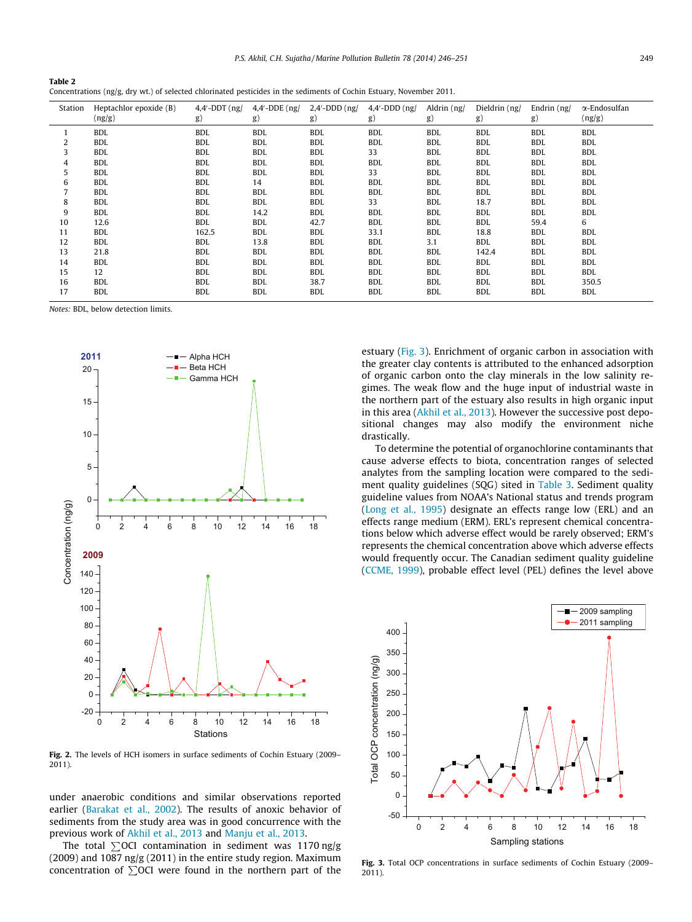P.S. Akhil, C.H. Sujatha / Marine Pollution Bulletin 78 (2014) 246–251 249

<span id="page-3-0"></span>

| Table 2 |                                                                                                                      |
|---------|----------------------------------------------------------------------------------------------------------------------|
|         | Concentrations (ng/g, dry wt.) of selected chlorinated pesticides in the sediments of Cochin Estuary, November 2011. |

| Station        | Heptachlor epoxide (B)<br>(ng/g) | $4.4'$ -DDT (ng/<br>g) | $4.4'$ -DDE (ng/<br>g) | $2,4'$ -DDD $(ng)$<br>g) | $4,4'$ -DDD $(ng)$<br>g) | Aldrin (ng/<br>g) | Dieldrin (ng/<br>g) | Endrin (ng/<br>g) | $\alpha$ -Endosulfan<br>(ng/g) |
|----------------|----------------------------------|------------------------|------------------------|--------------------------|--------------------------|-------------------|---------------------|-------------------|--------------------------------|
|                | <b>BDL</b>                       | <b>BDL</b>             | <b>BDL</b>             | <b>BDL</b>               | <b>BDL</b>               | <b>BDL</b>        | <b>BDL</b>          | <b>BDL</b>        | <b>BDL</b>                     |
| $\overline{2}$ | <b>BDL</b>                       | <b>BDL</b>             | <b>BDL</b>             | <b>BDL</b>               | <b>BDL</b>               | <b>BDL</b>        | <b>BDL</b>          | <b>BDL</b>        | <b>BDL</b>                     |
| 3              | <b>BDL</b>                       | <b>BDL</b>             | <b>BDL</b>             | <b>BDL</b>               | 33                       | <b>BDL</b>        | <b>BDL</b>          | <b>BDL</b>        | <b>BDL</b>                     |
| 4              | <b>BDL</b>                       | <b>BDL</b>             | <b>BDL</b>             | BDL                      | <b>BDL</b>               | <b>BDL</b>        | <b>BDL</b>          | <b>BDL</b>        | <b>BDL</b>                     |
| 5              | <b>BDL</b>                       | <b>BDL</b>             | <b>BDL</b>             | BDL                      | 33                       | <b>BDL</b>        | <b>BDL</b>          | <b>BDL</b>        | <b>BDL</b>                     |
| 6              | <b>BDL</b>                       | <b>BDL</b>             | 14                     | <b>BDL</b>               | <b>BDL</b>               | <b>BDL</b>        | <b>BDL</b>          | <b>BDL</b>        | <b>BDL</b>                     |
|                | <b>BDL</b>                       | <b>BDL</b>             | <b>BDL</b>             | BDL                      | <b>BDL</b>               | BDL               | BDL                 | BDL               | <b>BDL</b>                     |
| 8              | <b>BDL</b>                       | <b>BDL</b>             | <b>BDL</b>             | BDL                      | 33                       | <b>BDL</b>        | 18.7                | <b>BDL</b>        | <b>BDL</b>                     |
| 9              | <b>BDL</b>                       | <b>BDL</b>             | 14.2                   | <b>BDL</b>               | <b>BDL</b>               | <b>BDL</b>        | <b>BDL</b>          | <b>BDL</b>        | <b>BDL</b>                     |
| 10             | 12.6                             | <b>BDL</b>             | <b>BDL</b>             | 42.7                     | <b>BDL</b>               | <b>BDL</b>        | <b>BDL</b>          | 59.4              | 6                              |
| 11             | <b>BDL</b>                       | 162.5                  | <b>BDL</b>             | <b>BDL</b>               | 33.1                     | <b>BDL</b>        | 18.8                | <b>BDL</b>        | <b>BDL</b>                     |
| 12             | <b>BDL</b>                       | <b>BDL</b>             | 13.8                   | BDL                      | <b>BDL</b>               | 3.1               | <b>BDL</b>          | <b>BDL</b>        | <b>BDL</b>                     |
| 13             | 21.8                             | <b>BDL</b>             | <b>BDL</b>             | BDL                      | <b>BDL</b>               | <b>BDL</b>        | 142.4               | <b>BDL</b>        | <b>BDL</b>                     |
| 14             | <b>BDL</b>                       | <b>BDL</b>             | <b>BDL</b>             | BDL                      | <b>BDL</b>               | <b>BDL</b>        | <b>BDL</b>          | <b>BDL</b>        | <b>BDL</b>                     |
| 15             | 12                               | <b>BDL</b>             | <b>BDL</b>             | BDL                      | <b>BDL</b>               | <b>BDL</b>        | <b>BDL</b>          | <b>BDL</b>        | <b>BDL</b>                     |
| 16             | <b>BDL</b>                       | <b>BDL</b>             | <b>BDL</b>             | 38.7                     | <b>BDL</b>               | <b>BDL</b>        | <b>BDL</b>          | <b>BDL</b>        | 350.5                          |
| 17             | <b>BDL</b>                       | <b>BDL</b>             | <b>BDL</b>             | BDL                      | <b>BDL</b>               | <b>BDL</b>        | <b>BDL</b>          | <b>BDL</b>        | <b>BDL</b>                     |

Notes: BDL, below detection limits.



Fig. 2. The levels of HCH isomers in surface sediments of Cochin Estuary (2009– 2011).

under anaerobic conditions and similar observations reported earlier [\(Barakat et al., 2002](#page-5-0)). The results of anoxic behavior of sediments from the study area was in good concurrence with the previous work of [Akhil et al., 2013](#page-4-0) and [Manju et al., 2013.](#page-5-0)

The total  $\Sigma$ OCI contamination in sediment was 1170 ng/g (2009) and 1087 ng/g (2011) in the entire study region. Maximum concentration of  $\Sigma$ OCI were found in the northern part of the estuary (Fig. 3). Enrichment of organic carbon in association with the greater clay contents is attributed to the enhanced adsorption of organic carbon onto the clay minerals in the low salinity regimes. The weak flow and the huge input of industrial waste in the northern part of the estuary also results in high organic input in this area [\(Akhil et al., 2013\)](#page-4-0). However the successive post depositional changes may also modify the environment niche drastically.

To determine the potential of organochlorine contaminants that cause adverse effects to biota, concentration ranges of selected analytes from the sampling location were compared to the sediment quality guidelines (SQG) sited in [Table 3.](#page-4-0) Sediment quality guideline values from NOAA's National status and trends program ([Long et al., 1995\)](#page-5-0) designate an effects range low (ERL) and an effects range medium (ERM). ERL's represent chemical concentrations below which adverse effect would be rarely observed; ERM's represents the chemical concentration above which adverse effects would frequently occur. The Canadian sediment quality guideline ([CCME, 1999\)](#page-5-0), probable effect level (PEL) defines the level above



Fig. 3. Total OCP concentrations in surface sediments of Cochin Estuary (2009– 2011).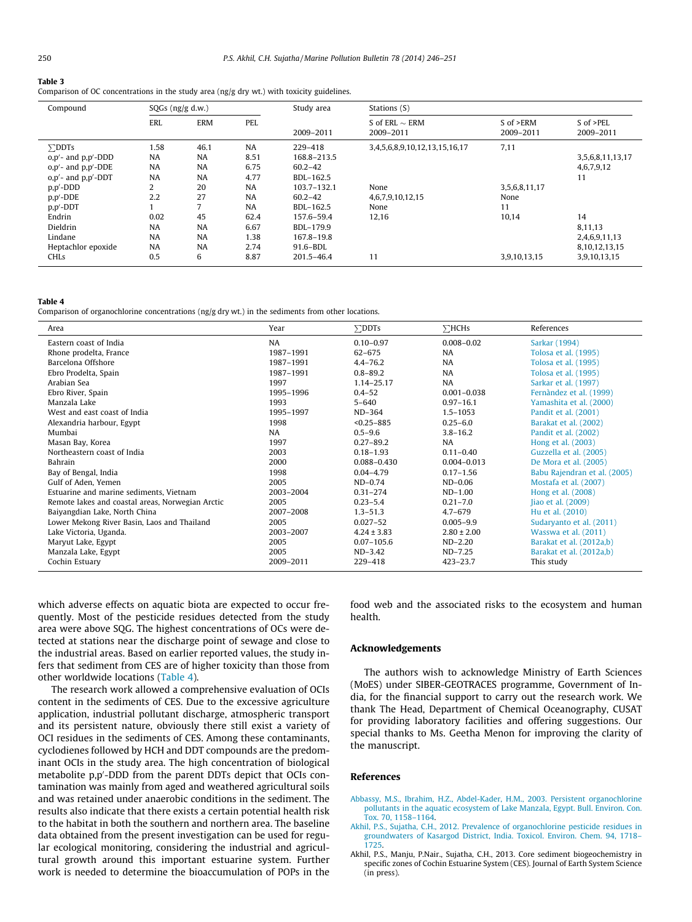#### <span id="page-4-0"></span>Table 3

Comparison of OC concentrations in the study area (ng/g dry wt.) with toxicity guidelines.

| Compound                   | $SQGs$ (ng/g d.w.) |           |           | Study area     | Stations (S)                     |                        |                            |  |
|----------------------------|--------------------|-----------|-----------|----------------|----------------------------------|------------------------|----------------------------|--|
|                            | ERL                | ERM       | PEL       | 2009-2011      | S of ERL $\sim$ ERM<br>2009-2011 | S of >ERM<br>2009-2011 | $S$ of $>PEL$<br>2009-2011 |  |
| $\Sigma$ DDTs              | 1.58               | 46.1      | <b>NA</b> | 229-418        | 3,4,5,6,8,9,10,12,13,15,16,17    | 7,11                   |                            |  |
| $o, p'$ - and $p, p'$ -DDD | <b>NA</b>          | <b>NA</b> | 8.51      | 168.8-213.5    |                                  |                        | 3,5,6,8,11,13,17           |  |
| $o, p'$ - and $p, p'$ -DDE | <b>NA</b>          | <b>NA</b> | 6.75      | $60.2 - 42$    |                                  |                        | 4,6,7,9,12                 |  |
| $o, p'$ - and $p, p'$ -DDT | <b>NA</b>          | <b>NA</b> | 4.77      | BDL-162.5      |                                  |                        | 11                         |  |
| $p, p'$ -DDD               | 2                  | 20        | <b>NA</b> | 103.7-132.1    | None                             | 3,5,6,8,11,17          |                            |  |
| $p, p'$ -DDE               | 2.2                | 27        | <b>NA</b> | $60.2 - 42$    | 4, 6, 7, 9, 10, 12, 15           | None                   |                            |  |
| $p, p'$ -DDT               |                    | 7         | <b>NA</b> | BDL-162.5      | None                             | 11                     |                            |  |
| Endrin                     | 0.02               | 45        | 62.4      | 157.6-59.4     | 12,16                            | 10,14                  | 14                         |  |
| Dieldrin                   | <b>NA</b>          | <b>NA</b> | 6.67      | BDL-179.9      |                                  |                        | 8.11.13                    |  |
| Lindane                    | <b>NA</b>          | <b>NA</b> | 1.38      | 167.8-19.8     |                                  |                        | 2,4,6,9,11,13              |  |
| Heptachlor epoxide         | <b>NA</b>          | <b>NA</b> | 2.74      | 91.6-BDL       |                                  |                        | 8,10,12,13,15              |  |
| <b>CHLs</b>                | 0.5                | 6         | 8.87      | $201.5 - 46.4$ | 11                               | 3,9,10,13,15           | 3,9,10,13,15               |  |

#### Table 4

Comparison of organochlorine concentrations (ng/g dry wt.) in the sediments from other locations.

| Area                                             | Year      | $\Sigma$ DDTs   | $\Sigma$ HCHs   | References                   |
|--------------------------------------------------|-----------|-----------------|-----------------|------------------------------|
| Eastern coast of India                           | <b>NA</b> | $0.10 - 0.97$   | $0.008 - 0.02$  | Sarkar (1994)                |
| Rhone prodelta, France                           | 1987-1991 | $62 - 675$      | <b>NA</b>       | Tolosa et al. (1995)         |
| Barcelona Offshore                               | 1987-1991 | $4.4 - 76.2$    | <b>NA</b>       | Tolosa et al. (1995)         |
| Ebro Prodelta, Spain                             | 1987-1991 | $0.8 - 89.2$    | <b>NA</b>       | Tolosa et al. (1995)         |
| Arabian Sea                                      | 1997      | 1.14-25.17      | <b>NA</b>       | Sarkar et al. (1997)         |
| Ebro River, Spain                                | 1995-1996 | $0.4 - 52$      | $0.001 - 0.038$ | Fernàndez et al. (1999)      |
| Manzala Lake                                     | 1993      | $5 - 640$       | $0.97 - 16.1$   | Yamashita et al. (2000)      |
| West and east coast of India                     | 1995-1997 | ND-364          | $1.5 - 1053$    | Pandit et al. (2001)         |
| Alexandria harbour, Egypt                        | 1998      | $< 0.25 - 885$  | $0.25 - 6.0$    | Barakat et al. (2002)        |
| Mumbai                                           | <b>NA</b> | $0.5 - 9.6$     | $3.8 - 16.2$    | Pandit et al. (2002)         |
| Masan Bay, Korea                                 | 1997      | $0.27 - 89.2$   | <b>NA</b>       | Hong et al. (2003)           |
| Northeastern coast of India                      | 2003      | $0.18 - 1.93$   | $0.11 - 0.40$   | Guzzella et al. (2005)       |
| Bahrain                                          | 2000      | 0.088-0.430     | $0.004 - 0.013$ | De Mora et al. (2005)        |
| Bay of Bengal, India                             | 1998      | $0.04 - 4.79$   | $0.17 - 1.56$   | Babu Rajendran et al. (2005) |
| Gulf of Aden. Yemen                              | 2005      | $ND-0.74$       | $ND-0.06$       | Mostafa et al. (2007)        |
| Estuarine and marine sediments. Vietnam          | 2003-2004 | $0.31 - 274$    | $ND-1.00$       | Hong et al. (2008)           |
| Remote lakes and coastal areas, Norwegian Arctic | 2005      | $0.23 - 5.4$    | $0.21 - 7.0$    | Jiao et al. (2009)           |
| Baiyangdian Lake, North China                    | 2007-2008 | $1.3 - 51.3$    | $4.7 - 679$     | Hu et al. (2010)             |
| Lower Mekong River Basin, Laos and Thailand      | 2005      | $0.027 - 52$    | $0.005 - 9.9$   | Sudaryanto et al. (2011)     |
| Lake Victoria, Uganda.                           | 2003-2007 | $4.24 \pm 3.83$ | $2.80 \pm 2.00$ | Wasswa et al. (2011)         |
| Maryut Lake, Egypt                               | 2005      | $0.07 - 105.6$  | $ND-2.20$       | Barakat et al. (2012a,b)     |
| Manzala Lake, Egypt                              | 2005      | $ND-3.42$       | $ND-7.25$       | Barakat et al. (2012a,b)     |
| Cochin Estuary                                   | 2009-2011 | 229-418         | $423 - 23.7$    | This study                   |

which adverse effects on aquatic biota are expected to occur frequently. Most of the pesticide residues detected from the study area were above SQG. The highest concentrations of OCs were detected at stations near the discharge point of sewage and close to the industrial areas. Based on earlier reported values, the study infers that sediment from CES are of higher toxicity than those from other worldwide locations (Table 4).

The research work allowed a comprehensive evaluation of OCIs content in the sediments of CES. Due to the excessive agriculture application, industrial pollutant discharge, atmospheric transport and its persistent nature, obviously there still exist a variety of OCI residues in the sediments of CES. Among these contaminants, cyclodienes followed by HCH and DDT compounds are the predominant OCIs in the study area. The high concentration of biological metabolite p,p'-DDD from the parent DDTs depict that OCIs contamination was mainly from aged and weathered agricultural soils and was retained under anaerobic conditions in the sediment. The results also indicate that there exists a certain potential health risk to the habitat in both the southern and northern area. The baseline data obtained from the present investigation can be used for regular ecological monitoring, considering the industrial and agricultural growth around this important estuarine system. Further work is needed to determine the bioaccumulation of POPs in the

food web and the associated risks to the ecosystem and human health.

## Acknowledgements

The authors wish to acknowledge Ministry of Earth Sciences (MoES) under SIBER-GEOTRACES programme, Government of India, for the financial support to carry out the research work. We thank The Head, Department of Chemical Oceanography, CUSAT for providing laboratory facilities and offering suggestions. Our special thanks to Ms. Geetha Menon for improving the clarity of the manuscript.

# References

- [Abbassy, M.S., Ibrahim, H.Z., Abdel-Kader, H.M., 2003. Persistent organochlorine](http://refhub.elsevier.com/S0025-326X(13)00642-5/h0005) [pollutants in the aquatic ecosystem of Lake Manzala, Egypt. Bull. Environ. Con.](http://refhub.elsevier.com/S0025-326X(13)00642-5/h0005) [Tox. 70, 1158–1164.](http://refhub.elsevier.com/S0025-326X(13)00642-5/h0005)
- [Akhil, P.S., Sujatha, C.H., 2012. Prevalence of organochlorine pesticide residues in](http://refhub.elsevier.com/S0025-326X(13)00642-5/h0010) [groundwaters of Kasargod District, India. Toxicol. Environ. Chem. 94, 1718–](http://refhub.elsevier.com/S0025-326X(13)00642-5/h0010) [1725.](http://refhub.elsevier.com/S0025-326X(13)00642-5/h0010)
- Akhil, P.S., Manju, P.Nair., Sujatha, C.H., 2013. Core sediment biogeochemistry in specific zones of Cochin Estuarine System (CES). Journal of Earth System Science (in press).